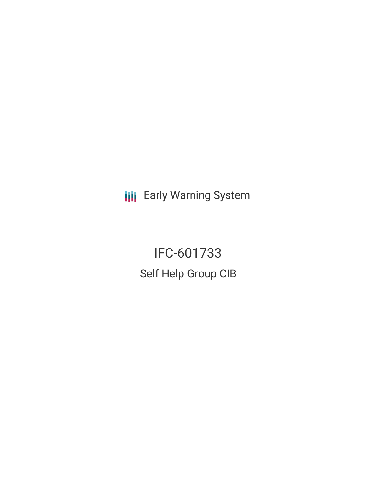**III** Early Warning System

IFC-601733 Self Help Group CIB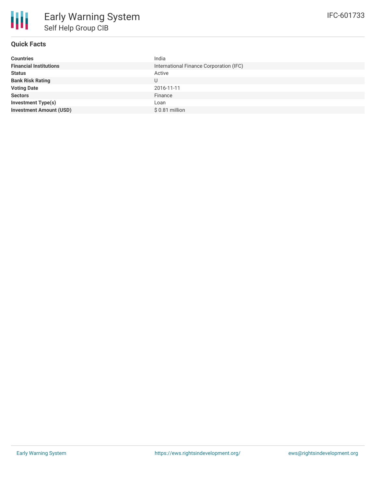# **Quick Facts**

| <b>Countries</b>               | India                                   |
|--------------------------------|-----------------------------------------|
| <b>Financial Institutions</b>  | International Finance Corporation (IFC) |
| <b>Status</b>                  | Active                                  |
| <b>Bank Risk Rating</b>        | U                                       |
| <b>Voting Date</b>             | 2016-11-11                              |
| <b>Sectors</b>                 | Finance                                 |
| Investment Type(s)             | Loan                                    |
| <b>Investment Amount (USD)</b> | $$0.81$ million                         |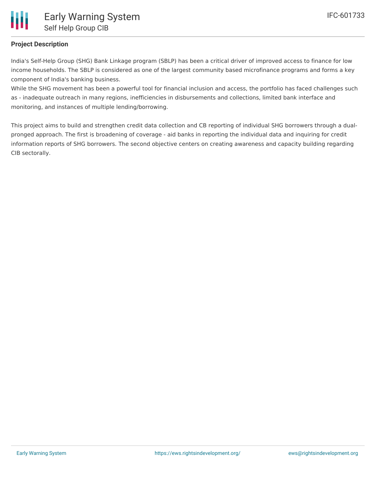

### **Project Description**

India's Self-Help Group (SHG) Bank Linkage program (SBLP) has been a critical driver of improved access to finance for low income households. The SBLP is considered as one of the largest community based microfinance programs and forms a key component of India's banking business.

While the SHG movement has been a powerful tool for financial inclusion and access, the portfolio has faced challenges such as - inadequate outreach in many regions, inefficiencies in disbursements and collections, limited bank interface and monitoring, and instances of multiple lending/borrowing.

This project aims to build and strengthen credit data collection and CB reporting of individual SHG borrowers through a dualpronged approach. The first is broadening of coverage - aid banks in reporting the individual data and inquiring for credit information reports of SHG borrowers. The second objective centers on creating awareness and capacity building regarding CIB sectorally.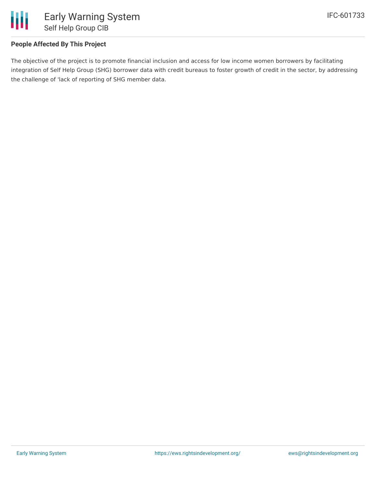

# **People Affected By This Project**

The objective of the project is to promote financial inclusion and access for low income women borrowers by facilitating integration of Self Help Group (SHG) borrower data with credit bureaus to foster growth of credit in the sector, by addressing the challenge of 'lack of reporting of SHG member data.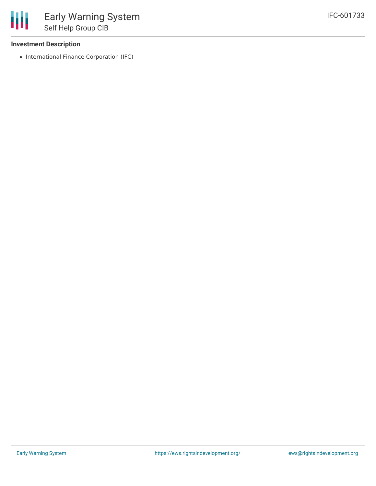#### **Investment Description**

• International Finance Corporation (IFC)